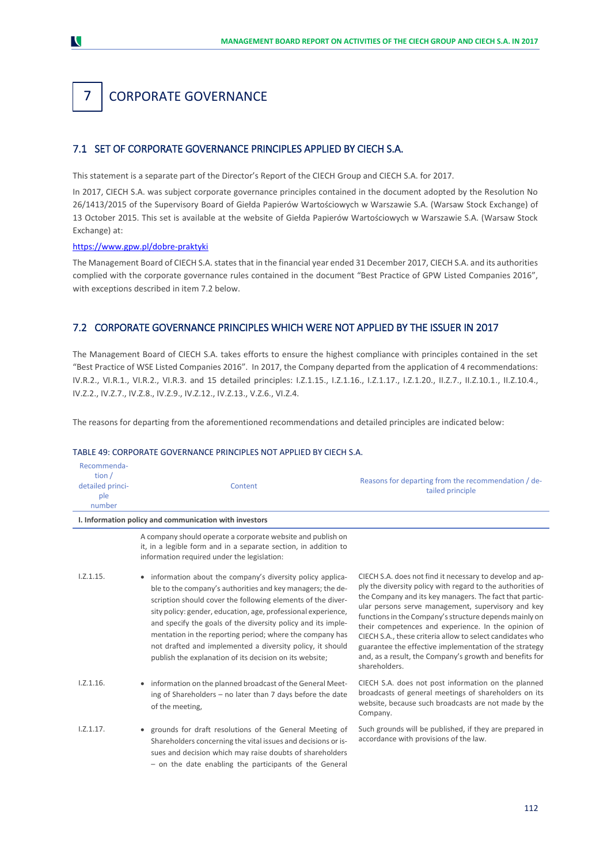# 7. CORPORATE GOVERNANCE

# 7.1 SET OF CORPORATE GOVERNANCE PRINCIPLES APPLIED BY CIECH S.A.

This statement is a separate part of the Director's Report of the CIECH Group and CIECH S.A. for 2017.

In 2017, CIECH S.A. was subject corporate governance principles contained in the document adopted by the Resolution No 26/1413/2015 of the Supervisory Board of Giełda Papierów Wartościowych w Warszawie S.A. (Warsaw Stock Exchange) of 13 October 2015. This set is available at the website of Giełda Papierów Wartościowych w Warszawie S.A. (Warsaw Stock Exchange) at:

#### <https://www.gpw.pl/dobre-praktyki>

The Management Board of CIECH S.A. states that in the financial year ended 31 December 2017, CIECH S.A. and its authorities complied with the corporate governance rules contained in the document "Best Practice of GPW Listed Companies 2016", with exceptions described in item 7.2 below.

# 7.2 CORPORATE GOVERNANCE PRINCIPLES WHICH WERE NOT APPLIED BY THE ISSUER IN 2017

The Management Board of CIECH S.A. takes efforts to ensure the highest compliance with principles contained in the set "Best Practice of WSE Listed Companies 2016". In 2017, the Company departed from the application of 4 recommendations: IV.R.2., VI.R.1., VI.R.2., VI.R.3. and 15 detailed principles: I.Z.1.15., I.Z.1.16., I.Z.1.17., I.Z.1.20., II.Z.7., II.Z.10.1., II.Z.10.4., IV.Z.2., IV.Z.7., IV.Z.8., IV.Z.9., IV.Z.12., IV.Z.13., V.Z.6., VI.Z.4.

The reasons for departing from the aforementioned recommendations and detailed principles are indicated below:

#### TABLE 49: CORPORATE GOVERNANCE PRINCIPLES NOT APPLIED BY CIECH S.A.

| Recommenda-<br>tion $/$<br>detailed princi-<br>ple<br>number | Content                                                                                                                                                                                                                                                                                                                                                                                                                                                                                                       | Reasons for departing from the recommendation / de-<br>tailed principle                                                                                                                                                                                                                                                                                                                                                                                                                                                                                     |
|--------------------------------------------------------------|---------------------------------------------------------------------------------------------------------------------------------------------------------------------------------------------------------------------------------------------------------------------------------------------------------------------------------------------------------------------------------------------------------------------------------------------------------------------------------------------------------------|-------------------------------------------------------------------------------------------------------------------------------------------------------------------------------------------------------------------------------------------------------------------------------------------------------------------------------------------------------------------------------------------------------------------------------------------------------------------------------------------------------------------------------------------------------------|
|                                                              | I. Information policy and communication with investors                                                                                                                                                                                                                                                                                                                                                                                                                                                        |                                                                                                                                                                                                                                                                                                                                                                                                                                                                                                                                                             |
|                                                              | A company should operate a corporate website and publish on<br>it, in a legible form and in a separate section, in addition to<br>information required under the legislation:                                                                                                                                                                                                                                                                                                                                 |                                                                                                                                                                                                                                                                                                                                                                                                                                                                                                                                                             |
| 1.2.1.15.                                                    | • information about the company's diversity policy applica-<br>ble to the company's authorities and key managers; the de-<br>scription should cover the following elements of the diver-<br>sity policy: gender, education, age, professional experience,<br>and specify the goals of the diversity policy and its imple-<br>mentation in the reporting period; where the company has<br>not drafted and implemented a diversity policy, it should<br>publish the explanation of its decision on its website; | CIECH S.A. does not find it necessary to develop and ap-<br>ply the diversity policy with regard to the authorities of<br>the Company and its key managers. The fact that partic-<br>ular persons serve management, supervisory and key<br>functions in the Company's structure depends mainly on<br>their competences and experience. In the opinion of<br>CIECH S.A., these criteria allow to select candidates who<br>guarantee the effective implementation of the strategy<br>and, as a result, the Company's growth and benefits for<br>shareholders. |
| 1.2.1.16.                                                    | • information on the planned broadcast of the General Meet-<br>ing of Shareholders - no later than 7 days before the date<br>of the meeting,                                                                                                                                                                                                                                                                                                                                                                  | CIECH S.A. does not post information on the planned<br>broadcasts of general meetings of shareholders on its<br>website, because such broadcasts are not made by the<br>Company.                                                                                                                                                                                                                                                                                                                                                                            |
| 1.2.1.17.                                                    | • grounds for draft resolutions of the General Meeting of<br>Shareholders concerning the vital issues and decisions or is-<br>sues and decision which may raise doubts of shareholders<br>- on the date enabling the participants of the General                                                                                                                                                                                                                                                              | Such grounds will be published, if they are prepared in<br>accordance with provisions of the law.                                                                                                                                                                                                                                                                                                                                                                                                                                                           |



7 1.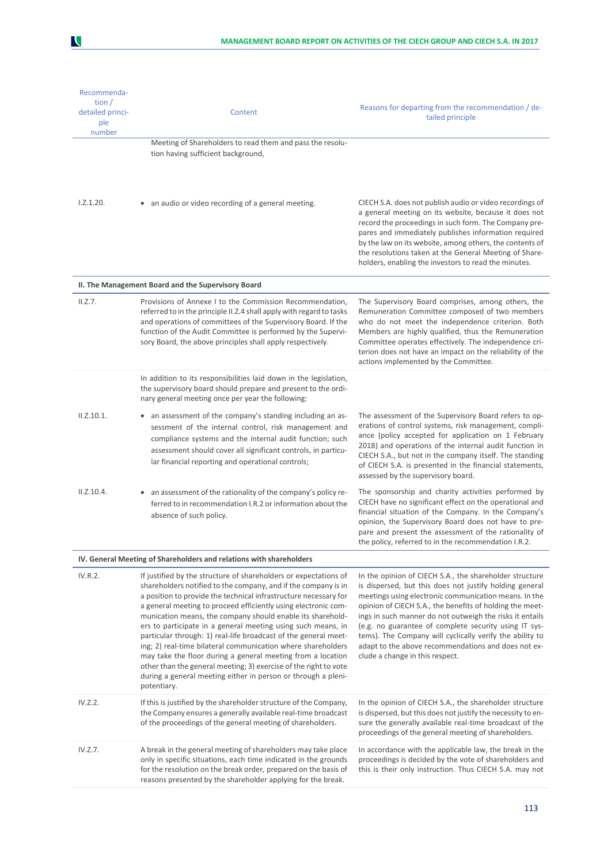| Recommenda-<br>tion $/$<br>detailed princi-<br>ple<br>number | Content                                                                                                                                                                                                                                                                                                                                                                                                                                                                                                                                                                                                                                                                                                                                                      | Reasons for departing from the recommendation / de-<br>tailed principle                                                                                                                                                                                                                                                                                                                                                                                                                                            |
|--------------------------------------------------------------|--------------------------------------------------------------------------------------------------------------------------------------------------------------------------------------------------------------------------------------------------------------------------------------------------------------------------------------------------------------------------------------------------------------------------------------------------------------------------------------------------------------------------------------------------------------------------------------------------------------------------------------------------------------------------------------------------------------------------------------------------------------|--------------------------------------------------------------------------------------------------------------------------------------------------------------------------------------------------------------------------------------------------------------------------------------------------------------------------------------------------------------------------------------------------------------------------------------------------------------------------------------------------------------------|
|                                                              | Meeting of Shareholders to read them and pass the resolu-                                                                                                                                                                                                                                                                                                                                                                                                                                                                                                                                                                                                                                                                                                    |                                                                                                                                                                                                                                                                                                                                                                                                                                                                                                                    |
|                                                              | tion having sufficient background,                                                                                                                                                                                                                                                                                                                                                                                                                                                                                                                                                                                                                                                                                                                           |                                                                                                                                                                                                                                                                                                                                                                                                                                                                                                                    |
| 1.2.1.20.                                                    | • an audio or video recording of a general meeting.                                                                                                                                                                                                                                                                                                                                                                                                                                                                                                                                                                                                                                                                                                          | CIECH S.A. does not publish audio or video recordings of<br>a general meeting on its website, because it does not<br>record the proceedings in such form. The Company pre-<br>pares and immediately publishes information required<br>by the law on its website, among others, the contents of<br>the resolutions taken at the General Meeting of Share-<br>holders, enabling the investors to read the minutes.                                                                                                   |
|                                                              | II. The Management Board and the Supervisory Board                                                                                                                                                                                                                                                                                                                                                                                                                                                                                                                                                                                                                                                                                                           |                                                                                                                                                                                                                                                                                                                                                                                                                                                                                                                    |
| II.Z.7.                                                      | Provisions of Annexe I to the Commission Recommendation,<br>referred to in the principle II.Z.4 shall apply with regard to tasks<br>and operations of committees of the Supervisory Board. If the<br>function of the Audit Committee is performed by the Supervi-<br>sory Board, the above principles shall apply respectively.                                                                                                                                                                                                                                                                                                                                                                                                                              | The Supervisory Board comprises, among others, the<br>Remuneration Committee composed of two members<br>who do not meet the independence criterion. Both<br>Members are highly qualified, thus the Remuneration<br>Committee operates effectively. The independence cri-<br>terion does not have an impact on the reliability of the<br>actions implemented by the Committee.                                                                                                                                      |
|                                                              | In addition to its responsibilities laid down in the legislation,<br>the supervisory board should prepare and present to the ordi-<br>nary general meeting once per year the following:                                                                                                                                                                                                                                                                                                                                                                                                                                                                                                                                                                      |                                                                                                                                                                                                                                                                                                                                                                                                                                                                                                                    |
| II.Z.10.1.                                                   | • an assessment of the company's standing including an as-<br>sessment of the internal control, risk management and<br>compliance systems and the internal audit function; such<br>assessment should cover all significant controls, in particu-<br>lar financial reporting and operational controls;                                                                                                                                                                                                                                                                                                                                                                                                                                                        | The assessment of the Supervisory Board refers to op-<br>erations of control systems, risk management, compli-<br>ance (policy accepted for application on 1 February<br>2018) and operations of the internal audit function in<br>CIECH S.A., but not in the company itself. The standing<br>of CIECH S.A. is presented in the financial statements,<br>assessed by the supervisory board.                                                                                                                        |
| II.Z.10.4.                                                   | an assessment of the rationality of the company's policy re-<br>ferred to in recommendation I.R.2 or information about the<br>absence of such policy.                                                                                                                                                                                                                                                                                                                                                                                                                                                                                                                                                                                                        | The sponsorship and charity activities performed by<br>CIECH have no significant effect on the operational and<br>financial situation of the Company. In the Company's<br>opinion, the Supervisory Board does not have to pre-<br>pare and present the assessment of the rationality of<br>the policy, referred to in the recommendation I.R.2.                                                                                                                                                                    |
|                                                              | IV. General Meeting of Shareholders and relations with shareholders                                                                                                                                                                                                                                                                                                                                                                                                                                                                                                                                                                                                                                                                                          |                                                                                                                                                                                                                                                                                                                                                                                                                                                                                                                    |
| IV.R.2.                                                      | If justified by the structure of shareholders or expectations of<br>shareholders notified to the company, and if the company is in<br>a position to provide the technical infrastructure necessary for<br>a general meeting to proceed efficiently using electronic com-<br>munication means, the company should enable its sharehold-<br>ers to participate in a general meeting using such means, in<br>particular through: 1) real-life broadcast of the general meet-<br>ing; 2) real-time bilateral communication where shareholders<br>may take the floor during a general meeting from a location<br>other than the general meeting; 3) exercise of the right to vote<br>during a general meeting either in person or through a pleni-<br>potentiary. | In the opinion of CIECH S.A., the shareholder structure<br>is dispersed, but this does not justify holding general<br>meetings using electronic communication means. In the<br>opinion of CIECH S.A., the benefits of holding the meet-<br>ings in such manner do not outweigh the risks it entails<br>(e.g. no guarantee of complete security using IT sys-<br>tems). The Company will cyclically verify the ability to<br>adapt to the above recommendations and does not ex-<br>clude a change in this respect. |
| IV.Z.2.                                                      | If this is justified by the shareholder structure of the Company,<br>the Company ensures a generally available real-time broadcast<br>of the proceedings of the general meeting of shareholders.                                                                                                                                                                                                                                                                                                                                                                                                                                                                                                                                                             | In the opinion of CIECH S.A., the shareholder structure<br>is dispersed, but this does not justify the necessity to en-<br>sure the generally available real-time broadcast of the<br>proceedings of the general meeting of shareholders.                                                                                                                                                                                                                                                                          |
| IV.Z.7.                                                      | A break in the general meeting of shareholders may take place<br>only in specific situations, each time indicated in the grounds<br>for the resolution on the break order, prepared on the basis of<br>reasons presented by the shareholder applying for the break.                                                                                                                                                                                                                                                                                                                                                                                                                                                                                          | In accordance with the applicable law, the break in the<br>proceedings is decided by the vote of shareholders and<br>this is their only instruction. Thus CIECH S.A. may not                                                                                                                                                                                                                                                                                                                                       |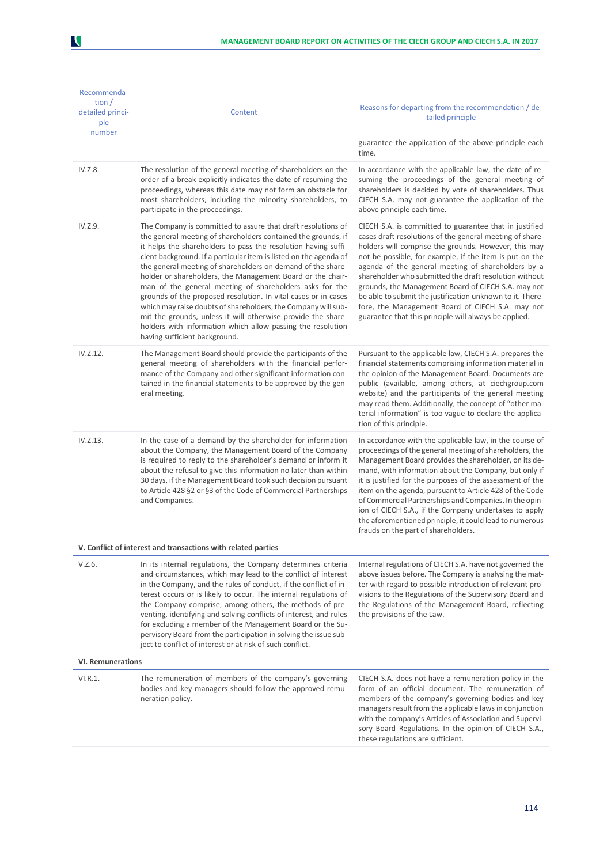| Recommenda-<br>tion $/$<br>detailed princi-<br>ple<br>number | Content                                                                                                                                                                                                                                                                                                                                                                                                                                                                                                                                                                                                                                                                                                                                                         | Reasons for departing from the recommendation / de-<br>tailed principle                                                                                                                                                                                                                                                                                                                                                                                                                                                                                                                |  |
|--------------------------------------------------------------|-----------------------------------------------------------------------------------------------------------------------------------------------------------------------------------------------------------------------------------------------------------------------------------------------------------------------------------------------------------------------------------------------------------------------------------------------------------------------------------------------------------------------------------------------------------------------------------------------------------------------------------------------------------------------------------------------------------------------------------------------------------------|----------------------------------------------------------------------------------------------------------------------------------------------------------------------------------------------------------------------------------------------------------------------------------------------------------------------------------------------------------------------------------------------------------------------------------------------------------------------------------------------------------------------------------------------------------------------------------------|--|
|                                                              |                                                                                                                                                                                                                                                                                                                                                                                                                                                                                                                                                                                                                                                                                                                                                                 | guarantee the application of the above principle each<br>time.                                                                                                                                                                                                                                                                                                                                                                                                                                                                                                                         |  |
| IV.Z.8.                                                      | The resolution of the general meeting of shareholders on the<br>order of a break explicitly indicates the date of resuming the<br>proceedings, whereas this date may not form an obstacle for<br>most shareholders, including the minority shareholders, to<br>participate in the proceedings.                                                                                                                                                                                                                                                                                                                                                                                                                                                                  | In accordance with the applicable law, the date of re-<br>suming the proceedings of the general meeting of<br>shareholders is decided by vote of shareholders. Thus<br>CIECH S.A. may not guarantee the application of the<br>above principle each time.                                                                                                                                                                                                                                                                                                                               |  |
| IV.Z.9.                                                      | The Company is committed to assure that draft resolutions of<br>the general meeting of shareholders contained the grounds, if<br>it helps the shareholders to pass the resolution having suffi-<br>cient background. If a particular item is listed on the agenda of<br>the general meeting of shareholders on demand of the share-<br>holder or shareholders, the Management Board or the chair-<br>man of the general meeting of shareholders asks for the<br>grounds of the proposed resolution. In vital cases or in cases<br>which may raise doubts of shareholders, the Company will sub-<br>mit the grounds, unless it will otherwise provide the share-<br>holders with information which allow passing the resolution<br>having sufficient background. | CIECH S.A. is committed to guarantee that in justified<br>cases draft resolutions of the general meeting of share-<br>holders will comprise the grounds. However, this may<br>not be possible, for example, if the item is put on the<br>agenda of the general meeting of shareholders by a<br>shareholder who submitted the draft resolution without<br>grounds, the Management Board of CIECH S.A. may not<br>be able to submit the justification unknown to it. There-<br>fore, the Management Board of CIECH S.A. may not<br>guarantee that this principle will always be applied. |  |
| IV.Z.12.                                                     | The Management Board should provide the participants of the<br>general meeting of shareholders with the financial perfor-<br>mance of the Company and other significant information con-<br>tained in the financial statements to be approved by the gen-<br>eral meeting.                                                                                                                                                                                                                                                                                                                                                                                                                                                                                      | Pursuant to the applicable law, CIECH S.A. prepares the<br>financial statements comprising information material in<br>the opinion of the Management Board. Documents are<br>public (available, among others, at ciechgroup.com<br>website) and the participants of the general meeting<br>may read them. Additionally, the concept of "other ma-<br>terial information" is too vague to declare the applica-<br>tion of this principle.                                                                                                                                                |  |
| IV.Z.13.                                                     | In the case of a demand by the shareholder for information<br>about the Company, the Management Board of the Company<br>is required to reply to the shareholder's demand or inform it<br>about the refusal to give this information no later than within<br>30 days, if the Management Board took such decision pursuant<br>to Article 428 §2 or §3 of the Code of Commercial Partnerships<br>and Companies.                                                                                                                                                                                                                                                                                                                                                    | In accordance with the applicable law, in the course of<br>proceedings of the general meeting of shareholders, the<br>Management Board provides the shareholder, on its de-<br>mand, with information about the Company, but only if<br>it is justified for the purposes of the assessment of the<br>item on the agenda, pursuant to Article 428 of the Code<br>of Commercial Partnerships and Companies. In the opin-<br>ion of CIECH S.A., if the Company undertakes to apply<br>the aforementioned principle, it could lead to numerous<br>frauds on the part of shareholders.      |  |
|                                                              | V. Conflict of interest and transactions with related parties                                                                                                                                                                                                                                                                                                                                                                                                                                                                                                                                                                                                                                                                                                   |                                                                                                                                                                                                                                                                                                                                                                                                                                                                                                                                                                                        |  |
| V.Z.6.                                                       | In its internal regulations, the Company determines criteria<br>and circumstances, which may lead to the conflict of interest<br>in the Company, and the rules of conduct, if the conflict of in-<br>terest occurs or is likely to occur. The internal regulations of<br>the Company comprise, among others, the methods of pre-<br>venting, identifying and solving conflicts of interest, and rules<br>for excluding a member of the Management Board or the Su-<br>pervisory Board from the participation in solving the issue sub-<br>ject to conflict of interest or at risk of such conflict.                                                                                                                                                             | Internal regulations of CIECH S.A. have not governed the<br>above issues before. The Company is analysing the mat-<br>ter with regard to possible introduction of relevant pro-<br>visions to the Regulations of the Supervisory Board and<br>the Regulations of the Management Board, reflecting<br>the provisions of the Law.                                                                                                                                                                                                                                                        |  |
| <b>VI. Remunerations</b>                                     |                                                                                                                                                                                                                                                                                                                                                                                                                                                                                                                                                                                                                                                                                                                                                                 |                                                                                                                                                                                                                                                                                                                                                                                                                                                                                                                                                                                        |  |
| VI.R.1.                                                      | The remuneration of members of the company's governing<br>bodies and key managers should follow the approved remu-<br>neration policy.                                                                                                                                                                                                                                                                                                                                                                                                                                                                                                                                                                                                                          | CIECH S.A. does not have a remuneration policy in the<br>form of an official document. The remuneration of<br>members of the company's governing bodies and key<br>managers result from the applicable laws in conjunction<br>with the company's Articles of Association and Supervi-<br>sory Board Regulations. In the opinion of CIECH S.A.,<br>these regulations are sufficient.                                                                                                                                                                                                    |  |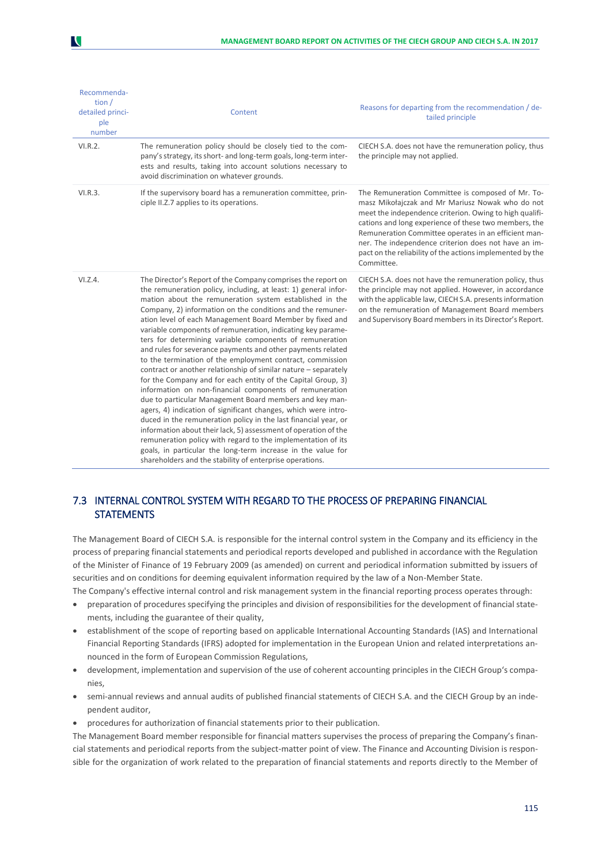| Recommenda-<br>tion $/$<br>detailed princi-<br>ple<br>number | Content                                                                                                                                                                                                                                                                                                                                                                                                                                                                                                                                                                                                                                                                                                                                                                                                                                                                                                                                                                                                                                                                                                                                                                                                                                  | Reasons for departing from the recommendation / de-<br>tailed principle                                                                                                                                                                                                                                                                                                                                              |
|--------------------------------------------------------------|------------------------------------------------------------------------------------------------------------------------------------------------------------------------------------------------------------------------------------------------------------------------------------------------------------------------------------------------------------------------------------------------------------------------------------------------------------------------------------------------------------------------------------------------------------------------------------------------------------------------------------------------------------------------------------------------------------------------------------------------------------------------------------------------------------------------------------------------------------------------------------------------------------------------------------------------------------------------------------------------------------------------------------------------------------------------------------------------------------------------------------------------------------------------------------------------------------------------------------------|----------------------------------------------------------------------------------------------------------------------------------------------------------------------------------------------------------------------------------------------------------------------------------------------------------------------------------------------------------------------------------------------------------------------|
| VI.R.2.                                                      | The remuneration policy should be closely tied to the com-<br>pany's strategy, its short- and long-term goals, long-term inter-<br>ests and results, taking into account solutions necessary to<br>avoid discrimination on whatever grounds.                                                                                                                                                                                                                                                                                                                                                                                                                                                                                                                                                                                                                                                                                                                                                                                                                                                                                                                                                                                             | CIECH S.A. does not have the remuneration policy, thus<br>the principle may not applied.                                                                                                                                                                                                                                                                                                                             |
| VI.R.3.                                                      | If the supervisory board has a remuneration committee, prin-<br>ciple II.Z.7 applies to its operations.                                                                                                                                                                                                                                                                                                                                                                                                                                                                                                                                                                                                                                                                                                                                                                                                                                                                                                                                                                                                                                                                                                                                  | The Remuneration Committee is composed of Mr. To-<br>masz Mikołajczak and Mr Mariusz Nowak who do not<br>meet the independence criterion. Owing to high qualifi-<br>cations and long experience of these two members, the<br>Remuneration Committee operates in an efficient man-<br>ner. The independence criterion does not have an im-<br>pact on the reliability of the actions implemented by the<br>Committee. |
| VI.Z.4.                                                      | The Director's Report of the Company comprises the report on<br>the remuneration policy, including, at least: 1) general infor-<br>mation about the remuneration system established in the<br>Company, 2) information on the conditions and the remuner-<br>ation level of each Management Board Member by fixed and<br>variable components of remuneration, indicating key parame-<br>ters for determining variable components of remuneration<br>and rules for severance payments and other payments related<br>to the termination of the employment contract, commission<br>contract or another relationship of similar nature - separately<br>for the Company and for each entity of the Capital Group, 3)<br>information on non-financial components of remuneration<br>due to particular Management Board members and key man-<br>agers, 4) indication of significant changes, which were intro-<br>duced in the remuneration policy in the last financial year, or<br>information about their lack, 5) assessment of operation of the<br>remuneration policy with regard to the implementation of its<br>goals, in particular the long-term increase in the value for<br>shareholders and the stability of enterprise operations. | CIECH S.A. does not have the remuneration policy, thus<br>the principle may not applied. However, in accordance<br>with the applicable law, CIECH S.A. presents information<br>on the remuneration of Management Board members<br>and Supervisory Board members in its Director's Report.                                                                                                                            |

# 7.3 INTERNAL CONTROL SYSTEM WITH REGARD TO THE PROCESS OF PREPARING FINANCIAL **STATEMENTS**

The Management Board of CIECH S.A. is responsible for the internal control system in the Company and its efficiency in the process of preparing financial statements and periodical reports developed and published in accordance with the Regulation of the Minister of Finance of 19 February 2009 (as amended) on current and periodical information submitted by issuers of securities and on conditions for deeming equivalent information required by the law of a Non-Member State.

The Company's effective internal control and risk management system in the financial reporting process operates through:

- preparation of procedures specifying the principles and division of responsibilities for the development of financial statements, including the guarantee of their quality,
- establishment of the scope of reporting based on applicable International Accounting Standards (IAS) and International Financial Reporting Standards (IFRS) adopted for implementation in the European Union and related interpretations announced in the form of European Commission Regulations,
- development, implementation and supervision of the use of coherent accounting principles in the CIECH Group's companies,
- semi-annual reviews and annual audits of published financial statements of CIECH S.A. and the CIECH Group by an independent auditor,
- procedures for authorization of financial statements prior to their publication.

The Management Board member responsible for financial matters supervises the process of preparing the Company's financial statements and periodical reports from the subject-matter point of view. The Finance and Accounting Division is responsible for the organization of work related to the preparation of financial statements and reports directly to the Member of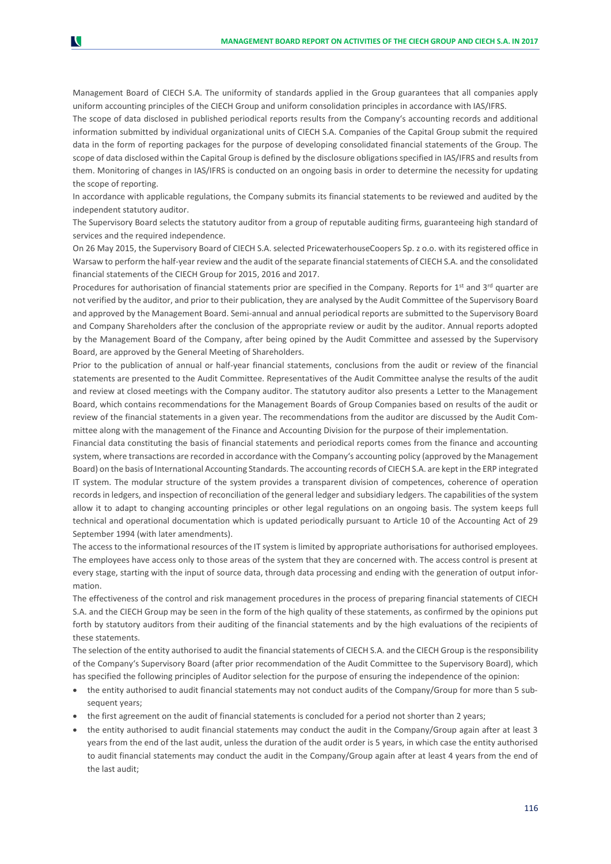Management Board of CIECH S.A. The uniformity of standards applied in the Group guarantees that all companies apply uniform accounting principles of the CIECH Group and uniform consolidation principles in accordance with IAS/IFRS.

N

The scope of data disclosed in published periodical reports results from the Company's accounting records and additional information submitted by individual organizational units of CIECH S.A. Companies of the Capital Group submit the required data in the form of reporting packages for the purpose of developing consolidated financial statements of the Group. The scope of data disclosed within the Capital Group is defined by the disclosure obligations specified in IAS/IFRS and results from them. Monitoring of changes in IAS/IFRS is conducted on an ongoing basis in order to determine the necessity for updating the scope of reporting.

In accordance with applicable regulations, the Company submits its financial statements to be reviewed and audited by the independent statutory auditor.

The Supervisory Board selects the statutory auditor from a group of reputable auditing firms, guaranteeing high standard of services and the required independence.

On 26 May 2015, the Supervisory Board of CIECH S.A. selected PricewaterhouseCoopers Sp. z o.o. with its registered office in Warsaw to perform the half-year review and the audit of the separate financial statements of CIECH S.A. and the consolidated financial statements of the CIECH Group for 2015, 2016 and 2017.

Procedures for authorisation of financial statements prior are specified in the Company. Reports for 1<sup>st</sup> and 3<sup>rd</sup> quarter are not verified by the auditor, and prior to their publication, they are analysed by the Audit Committee of the Supervisory Board and approved by the Management Board. Semi-annual and annual periodical reports are submitted to the Supervisory Board and Company Shareholders after the conclusion of the appropriate review or audit by the auditor. Annual reports adopted by the Management Board of the Company, after being opined by the Audit Committee and assessed by the Supervisory Board, are approved by the General Meeting of Shareholders.

Prior to the publication of annual or half-year financial statements, conclusions from the audit or review of the financial statements are presented to the Audit Committee. Representatives of the Audit Committee analyse the results of the audit and review at closed meetings with the Company auditor. The statutory auditor also presents a Letter to the Management Board, which contains recommendations for the Management Boards of Group Companies based on results of the audit or review of the financial statements in a given year. The recommendations from the auditor are discussed by the Audit Committee along with the management of the Finance and Accounting Division for the purpose of their implementation.

Financial data constituting the basis of financial statements and periodical reports comes from the finance and accounting system, where transactions are recorded in accordance with the Company's accounting policy (approved by the Management Board) on the basis of International Accounting Standards. The accounting records of CIECH S.A. are kept in the ERP integrated IT system. The modular structure of the system provides a transparent division of competences, coherence of operation records in ledgers, and inspection of reconciliation of the general ledger and subsidiary ledgers. The capabilities of the system allow it to adapt to changing accounting principles or other legal regulations on an ongoing basis. The system keeps full technical and operational documentation which is updated periodically pursuant to Article 10 of the Accounting Act of 29 September 1994 (with later amendments).

The access to the informational resources of the IT system is limited by appropriate authorisations for authorised employees. The employees have access only to those areas of the system that they are concerned with. The access control is present at every stage, starting with the input of source data, through data processing and ending with the generation of output information.

The effectiveness of the control and risk management procedures in the process of preparing financial statements of CIECH S.A. and the CIECH Group may be seen in the form of the high quality of these statements, as confirmed by the opinions put forth by statutory auditors from their auditing of the financial statements and by the high evaluations of the recipients of these statements.

The selection of the entity authorised to audit the financial statements of CIECH S.A. and the CIECH Group is the responsibility of the Company's Supervisory Board (after prior recommendation of the Audit Committee to the Supervisory Board), which has specified the following principles of Auditor selection for the purpose of ensuring the independence of the opinion:

- the entity authorised to audit financial statements may not conduct audits of the Company/Group for more than 5 subsequent years:
- the first agreement on the audit of financial statements is concluded for a period not shorter than 2 years;
- the entity authorised to audit financial statements may conduct the audit in the Company/Group again after at least 3 years from the end of the last audit, unless the duration of the audit order is 5 years, in which case the entity authorised to audit financial statements may conduct the audit in the Company/Group again after at least 4 years from the end of the last audit;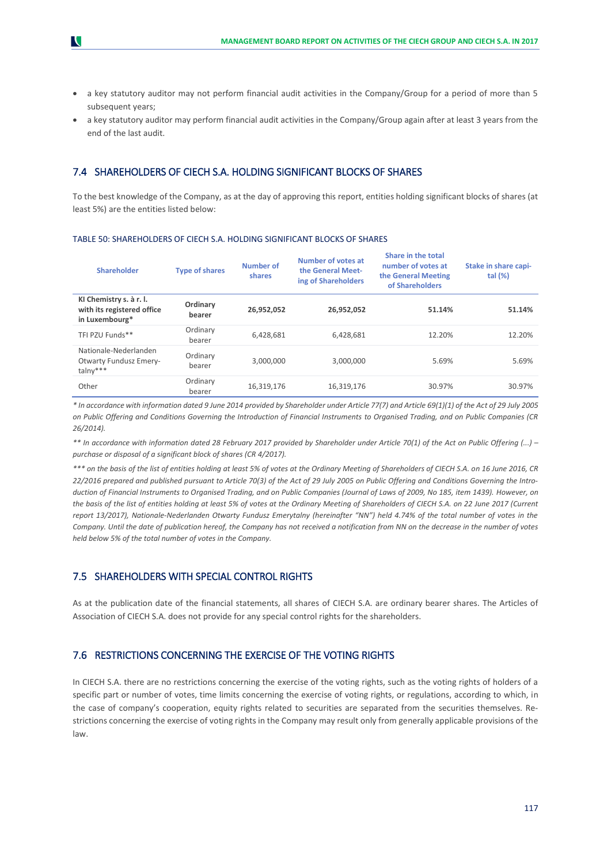- a key statutory auditor may not perform financial audit activities in the Company/Group for a period of more than 5 subsequent years:
- a key statutory auditor may perform financial audit activities in the Company/Group again after at least 3 years from the end of the last audit.

# 7.4 SHAREHOLDERS OF CIECH S.A. HOLDING SIGNIFICANT BLOCKS OF SHARES

To the best knowledge of the Company, as at the day of approving this report, entities holding significant blocks of shares (at least 5%) are the entities listed below:

|  |  | TABLE 50: SHAREHOLDERS OF CIECH S.A. HOLDING SIGNIFICANT BLOCKS OF SHARES |  |
|--|--|---------------------------------------------------------------------------|--|
|--|--|---------------------------------------------------------------------------|--|

| <b>Shareholder</b>                                                      | <b>Type of shares</b> | <b>Number of</b><br>shares | Number of votes at<br>the General Meet-<br>ing of Shareholders | Share in the total<br>number of votes at<br>the General Meeting<br>of Shareholders | Stake in share capi-<br>tal $(\%)$ |
|-------------------------------------------------------------------------|-----------------------|----------------------------|----------------------------------------------------------------|------------------------------------------------------------------------------------|------------------------------------|
| KI Chemistry s. à r. l.<br>with its registered office<br>in Luxembourg* | Ordinary<br>bearer    | 26,952,052                 | 26,952,052                                                     | 51.14%                                                                             | 51.14%                             |
| TFI PZU Funds**                                                         | Ordinary<br>bearer    | 6,428,681                  | 6,428,681                                                      | 12.20%                                                                             | 12.20%                             |
| Nationale-Nederlanden<br><b>Otwarty Fundusz Emery-</b><br>$talny***$    | Ordinary<br>bearer    | 3.000.000                  | 3.000.000                                                      | 5.69%                                                                              | 5.69%                              |
| Other                                                                   | Ordinary<br>bearer    | 16,319,176                 | 16,319,176                                                     | 30.97%                                                                             | 30.97%                             |

*\* In accordance with information dated 9 June 2014 provided by Shareholder under Article 77(7) and Article 69(1)(1) of the Act of 29 July 2005 on Public Offering and Conditions Governing the Introduction of Financial Instruments to Organised Trading, and on Public Companies (CR 26/2014).*

*\*\* In accordance with information dated 28 February 2017 provided by Shareholder under Article 70(1) of the Act on Public Offering (...) – purchase or disposal of a significant block of shares (CR 4/2017).*

*\*\*\* on the basis of the list of entities holding at least 5% of votes at the Ordinary Meeting of Shareholders of CIECH S.A. on 16 June 2016, CR 22/2016 prepared and published pursuant to Article 70(3) of the Act of 29 July 2005 on Public Offering and Conditions Governing the Introduction of Financial Instruments to Organised Trading, and on Public Companies (Journal of Laws of 2009, No 185, item 1439). However, on the basis of the list of entities holding at least 5% of votes at the Ordinary Meeting of Shareholders of CIECH S.A. on 22 June 2017 (Current report 13/2017), Nationale-Nederlanden Otwarty Fundusz Emerytalny (hereinafter "NN") held 4.74% of the total number of votes in the Company. Until the date of publication hereof, the Company has not received a notification from NN on the decrease in the number of votes held below 5% of the total number of votes in the Company.*

### 7.5 SHAREHOLDERS WITH SPECIAL CONTROL RIGHTS

As at the publication date of the financial statements, all shares of CIECH S.A. are ordinary bearer shares. The Articles of Association of CIECH S.A. does not provide for any special control rights for the shareholders.

# 7.6 RESTRICTIONS CONCERNING THE EXERCISE OF THE VOTING RIGHTS

In CIECH S.A. there are no restrictions concerning the exercise of the voting rights, such as the voting rights of holders of a specific part or number of votes, time limits concerning the exercise of voting rights, or regulations, according to which, in the case of company's cooperation, equity rights related to securities are separated from the securities themselves. Restrictions concerning the exercise of voting rights in the Company may result only from generally applicable provisions of the law.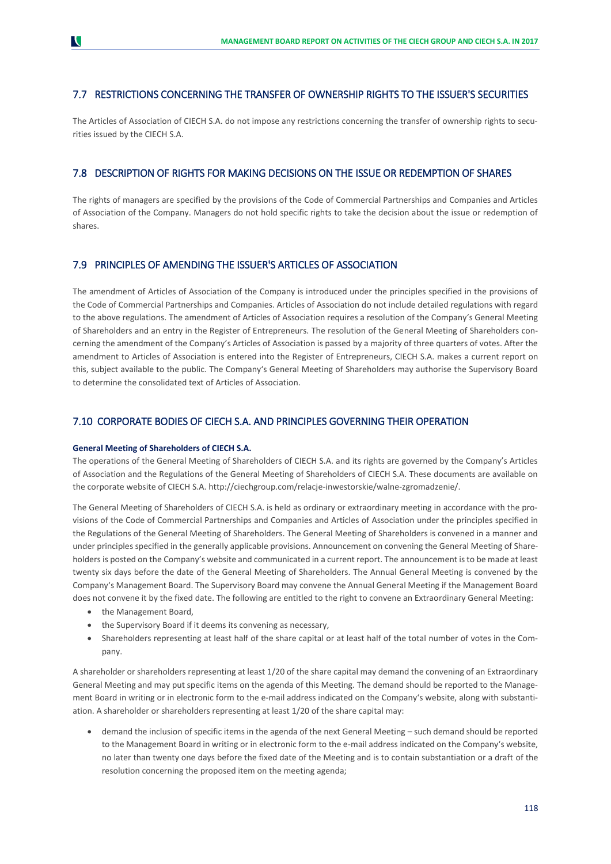# 7.7 RESTRICTIONS CONCERNING THE TRANSFER OF OWNERSHIP RIGHTS TO THE ISSUER'S SECURITIES

The Articles of Association of CIECH S.A. do not impose any restrictions concerning the transfer of ownership rights to securities issued by the CIECH S.A.

# 7.8 DESCRIPTION OF RIGHTS FOR MAKING DECISIONS ON THE ISSUE OR REDEMPTION OF SHARES

The rights of managers are specified by the provisions of the Code of Commercial Partnerships and Companies and Articles of Association of the Company. Managers do not hold specific rights to take the decision about the issue or redemption of shares.

# 7.9 PRINCIPLES OF AMENDING THE ISSUER'S ARTICLES OF ASSOCIATION

The amendment of Articles of Association of the Company is introduced under the principles specified in the provisions of the Code of Commercial Partnerships and Companies. Articles of Association do not include detailed regulations with regard to the above regulations. The amendment of Articles of Association requires a resolution of the Company's General Meeting of Shareholders and an entry in the Register of Entrepreneurs. The resolution of the General Meeting of Shareholders concerning the amendment of the Company's Articles of Association is passed by a majority of three quarters of votes. After the amendment to Articles of Association is entered into the Register of Entrepreneurs, CIECH S.A. makes a current report on this, subject available to the public. The Company's General Meeting of Shareholders may authorise the Supervisory Board to determine the consolidated text of Articles of Association.

# 7.10 CORPORATE BODIES OF CIECH S.A. AND PRINCIPLES GOVERNING THEIR OPERATION

#### **General Meeting of Shareholders of CIECH S.A.**

The operations of the General Meeting of Shareholders of CIECH S.A. and its rights are governed by the Company's Articles of Association and the Regulations of the General Meeting of Shareholders of CIECH S.A. These documents are available on the corporate website of CIECH S.A. http://ciechgroup.com/relacje-inwestorskie/walne-zgromadzenie/.

The General Meeting of Shareholders of CIECH S.A. is held as ordinary or extraordinary meeting in accordance with the provisions of the Code of Commercial Partnerships and Companies and Articles of Association under the principles specified in the Regulations of the General Meeting of Shareholders. The General Meeting of Shareholders is convened in a manner and under principles specified in the generally applicable provisions. Announcement on convening the General Meeting of Shareholders is posted on the Company's website and communicated in a current report. The announcement is to be made at least twenty six days before the date of the General Meeting of Shareholders. The Annual General Meeting is convened by the Company's Management Board. The Supervisory Board may convene the Annual General Meeting if the Management Board does not convene it by the fixed date. The following are entitled to the right to convene an Extraordinary General Meeting:

- the Management Board,
- the Supervisory Board if it deems its convening as necessary,
- Shareholders representing at least half of the share capital or at least half of the total number of votes in the Company.

A shareholder or shareholders representing at least 1/20 of the share capital may demand the convening of an Extraordinary General Meeting and may put specific items on the agenda of this Meeting. The demand should be reported to the Management Board in writing or in electronic form to the e-mail address indicated on the Company's website, along with substantiation. A shareholder or shareholders representing at least 1/20 of the share capital may:

 demand the inclusion of specific items in the agenda of the next General Meeting – such demand should be reported to the Management Board in writing or in electronic form to the e-mail address indicated on the Company's website, no later than twenty one days before the fixed date of the Meeting and is to contain substantiation or a draft of the resolution concerning the proposed item on the meeting agenda;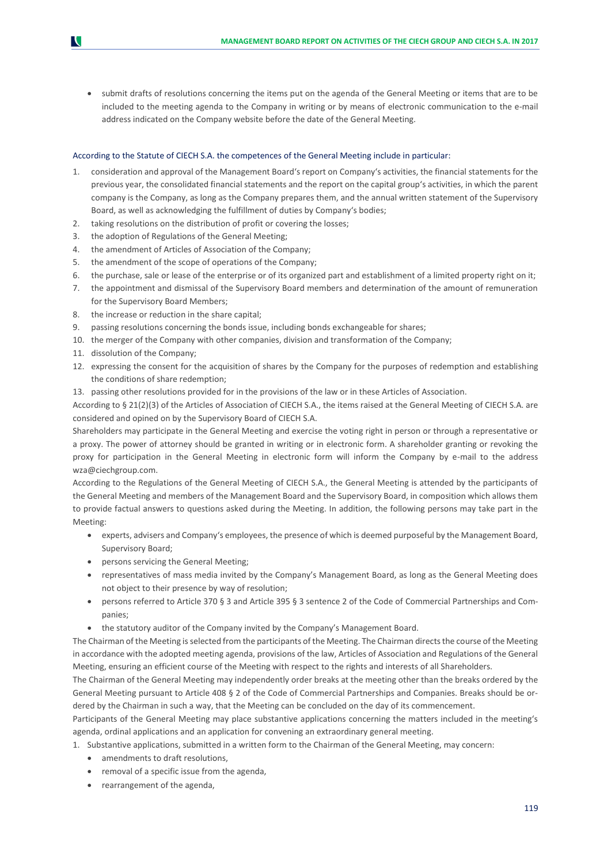• submit drafts of resolutions concerning the items put on the agenda of the General Meeting or items that are to be included to the meeting agenda to the Company in writing or by means of electronic communication to the e-mail address indicated on the Company website before the date of the General Meeting.

#### According to the Statute of CIECH S.A. the competences of the General Meeting include in particular:

- 1. consideration and approval of the Management Board's report on Company's activities, the financial statements for the previous year, the consolidated financial statements and the report on the capital group's activities, in which the parent company is the Company, as long as the Company prepares them, and the annual written statement of the Supervisory Board, as well as acknowledging the fulfillment of duties by Company's bodies;
- 2. taking resolutions on the distribution of profit or covering the losses;
- 3. the adoption of Regulations of the General Meeting;
- 4. the amendment of Articles of Association of the Company;
- 5. the amendment of the scope of operations of the Company;
- 6. the purchase, sale or lease of the enterprise or of its organized part and establishment of a limited property right on it;
- 7. the appointment and dismissal of the Supervisory Board members and determination of the amount of remuneration for the Supervisory Board Members;
- 8. the increase or reduction in the share capital;
- 9. passing resolutions concerning the bonds issue, including bonds exchangeable for shares;
- 10. the merger of the Company with other companies, division and transformation of the Company;
- 11. dissolution of the Company;
- 12. expressing the consent for the acquisition of shares by the Company for the purposes of redemption and establishing the conditions of share redemption;
- 13. passing other resolutions provided for in the provisions of the law or in these Articles of Association.

According to § 21(2)(3) of the Articles of Association of CIECH S.A., the items raised at the General Meeting of CIECH S.A. are considered and opined on by the Supervisory Board of CIECH S.A.

Shareholders may participate in the General Meeting and exercise the voting right in person or through a representative or a proxy. The power of attorney should be granted in writing or in electronic form. A shareholder granting or revoking the proxy for participation in the General Meeting in electronic form will inform the Company by e-mail to the address [wza@ciechgroup.com.](mailto:wza@ciech.com)

According to the Regulations of the General Meeting of CIECH S.A., the General Meeting is attended by the participants of the General Meeting and members of the Management Board and the Supervisory Board, in composition which allows them to provide factual answers to questions asked during the Meeting. In addition, the following persons may take part in the Meeting:

- experts, advisers and Company's employees, the presence of which is deemed purposeful by the Management Board, Supervisory Board;
- persons servicing the General Meeting;
- representatives of mass media invited by the Company's Management Board, as long as the General Meeting does not object to their presence by way of resolution;
- persons referred to Article 370 § 3 and Article 395 § 3 sentence 2 of the Code of Commercial Partnerships and Companies;
- the statutory auditor of the Company invited by the Company's Management Board.

The Chairman of the Meeting is selected from the participants of the Meeting. The Chairman directs the course of the Meeting in accordance with the adopted meeting agenda, provisions of the law, Articles of Association and Regulations of the General Meeting, ensuring an efficient course of the Meeting with respect to the rights and interests of all Shareholders.

The Chairman of the General Meeting may independently order breaks at the meeting other than the breaks ordered by the General Meeting pursuant to Article 408 § 2 of the Code of Commercial Partnerships and Companies. Breaks should be ordered by the Chairman in such a way, that the Meeting can be concluded on the day of its commencement.

Participants of the General Meeting may place substantive applications concerning the matters included in the meeting's agenda, ordinal applications and an application for convening an extraordinary general meeting.

- 1. Substantive applications, submitted in a written form to the Chairman of the General Meeting, may concern:
	- amendments to draft resolutions.
	- removal of a specific issue from the agenda,
	- rearrangement of the agenda,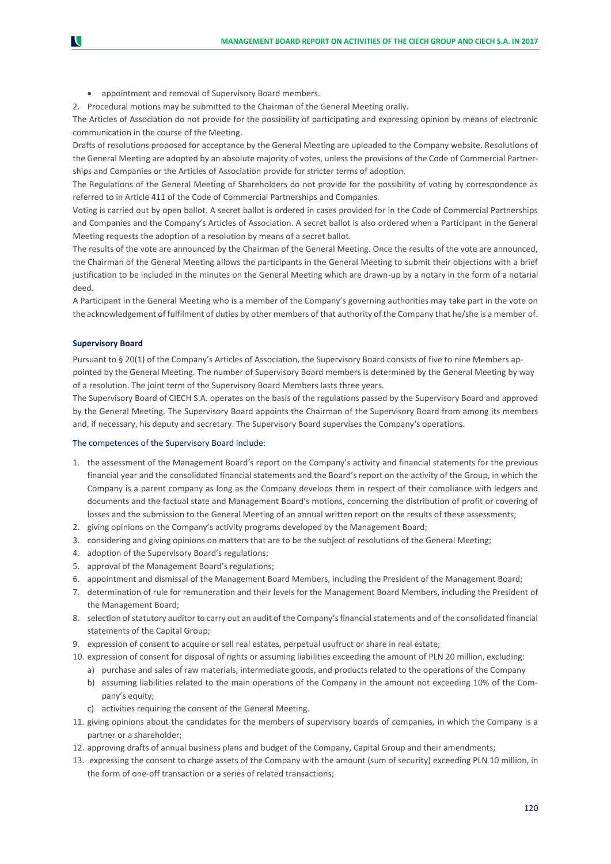appointment and removal of Supervisory Board members.

2. Procedural motions may be submitted to the Chairman of the General Meeting orally.

The Articles of Association do not provide for the possibility of participating and expressing opinion by means of electronic communication in the course of the Meeting.

Drafts of resolutions proposed for acceptance by the General Meeting are uploaded to the Company website. Resolutions of the General Meeting are adopted by an absolute majority of votes, unless the provisions of the Code of Commercial Partnerships and Companies or the Articles of Association provide for stricter terms of adoption.

The Regulations of the General Meeting of Shareholders do not provide for the possibility of voting by correspondence as referred to in Article 411 of the Code of Commercial Partnerships and Companies.

Voting is carried out by open ballot. A secret ballot is ordered in cases provided for in the Code of Commercial Partnerships and Companies and the Company's Articles of Association. A secret ballot is also ordered when a Participant in the General Meeting requests the adoption of a resolution by means of a secret ballot.

The results of the vote are announced by the Chairman of the General Meeting. Once the results of the vote are announced, the Chairman of the General Meeting allows the participants in the General Meeting to submit their objections with a brief justification to be included in the minutes on the General Meeting which are drawn-up by a notary in the form of a notarial deed.

A Participant in the General Meeting who is a member of the Company's governing authorities may take part in the vote on the acknowledgement of fulfilment of duties by other members of that authority of the Company that he/she is a member of.

### **Supervisory Board**

Pursuant to § 20(1) of the Company's Articles of Association, the Supervisory Board consists of five to nine Members appointed by the General Meeting. The number of Supervisory Board members is determined by the General Meeting by way of a resolution. The joint term of the Supervisory Board Members lasts three years.

The Supervisory Board of CIECH S.A. operates on the basis of the regulations passed by the Supervisory Board and approved by the General Meeting. The Supervisory Board appoints the Chairman of the Supervisory Board from among its members and, if necessary, his deputy and secretary. The Supervisory Board supervises the Company's operations.

#### The competences of the Supervisory Board include:

- 1. the assessment of the Management Board's report on the Company's activity and financial statements for the previous financial year and the consolidated financial statements and the Board's report on the activity of the Group, in which the Company is a parent company as long as the Company develops them in respect of their compliance with ledgers and documents and the factual state and Management Board's motions, concerning the distribution of profit or covering of losses and the submission to the General Meeting of an annual written report on the results of these assessments;
- 2. giving opinions on the Company's activity programs developed by the Management Board;
- 3. considering and giving opinions on matters that are to be the subject of resolutions of the General Meeting;
- 4. adoption of the Supervisory Board's regulations;
- 5. approval of the Management Board's regulations;
- 6. appointment and dismissal of the Management Board Members, including the President of the Management Board;
- 7. determination of rule for remuneration and their levels for the Management Board Members, including the President of the Management Board;
- 8. selection of statutory auditor to carry out an audit of the Company's financial statements and of the consolidated financial statements of the Capital Group;
- 9. expression of consent to acquire or sell real estates, perpetual usufruct or share in real estate;
- 10. expression of consent for disposal of rights or assuming liabilities exceeding the amount of PLN 20 million, excluding:
	- a) purchase and sales of raw materials, intermediate goods, and products related to the operations of the Company
	- b) assuming liabilities related to the main operations of the Company in the amount not exceeding 10% of the Company's equity;
	- c) activities requiring the consent of the General Meeting.
- 11. giving opinions about the candidates for the members of supervisory boards of companies, in which the Company is a partner or a shareholder;
- 12. approving drafts of annual business plans and budget of the Company, Capital Group and their amendments;
- 13. expressing the consent to charge assets of the Company with the amount (sum of security) exceeding PLN 10 million, in the form of one-off transaction or a series of related transactions;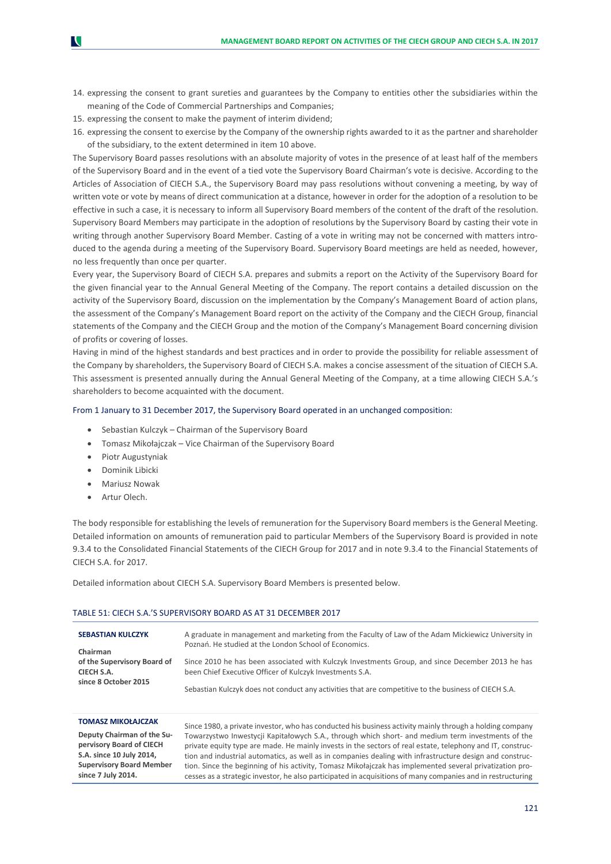- 14. expressing the consent to grant sureties and guarantees by the Company to entities other the subsidiaries within the meaning of the Code of Commercial Partnerships and Companies;
- 15. expressing the consent to make the payment of interim dividend;
- 16. expressing the consent to exercise by the Company of the ownership rights awarded to it as the partner and shareholder of the subsidiary, to the extent determined in item 10 above.

The Supervisory Board passes resolutions with an absolute majority of votes in the presence of at least half of the members of the Supervisory Board and in the event of a tied vote the Supervisory Board Chairman's vote is decisive. According to the Articles of Association of CIECH S.A., the Supervisory Board may pass resolutions without convening a meeting, by way of written vote or vote by means of direct communication at a distance, however in order for the adoption of a resolution to be effective in such a case, it is necessary to inform all Supervisory Board members of the content of the draft of the resolution. Supervisory Board Members may participate in the adoption of resolutions by the Supervisory Board by casting their vote in writing through another Supervisory Board Member. Casting of a vote in writing may not be concerned with matters introduced to the agenda during a meeting of the Supervisory Board. Supervisory Board meetings are held as needed, however, no less frequently than once per quarter.

Every year, the Supervisory Board of CIECH S.A. prepares and submits a report on the Activity of the Supervisory Board for the given financial year to the Annual General Meeting of the Company. The report contains a detailed discussion on the activity of the Supervisory Board, discussion on the implementation by the Company's Management Board of action plans, the assessment of the Company's Management Board report on the activity of the Company and the CIECH Group, financial statements of the Company and the CIECH Group and the motion of the Company's Management Board concerning division of profits or covering of losses.

Having in mind of the highest standards and best practices and in order to provide the possibility for reliable assessment of the Company by shareholders, the Supervisory Board of CIECH S.A. makes a concise assessment of the situation of CIECH S.A. This assessment is presented annually during the Annual General Meeting of the Company, at a time allowing CIECH S.A.'s shareholders to become acquainted with the document.

#### From 1 January to 31 December 2017, the Supervisory Board operated in an unchanged composition:

- Sebastian Kulczyk Chairman of the Supervisory Board
- Tomasz Mikołajczak Vice Chairman of the Supervisory Board
- Piotr Augustyniak
- Dominik Libicki
- Mariusz Nowak
- Artur Olech.

The body responsible for establishing the levels of remuneration for the Supervisory Board members is the General Meeting. Detailed information on amounts of remuneration paid to particular Members of the Supervisory Board is provided in note 9.3.4 to the Consolidated Financial Statements of the CIECH Group for 2017 and in note 9.3.4 to the Financial Statements of CIECH S.A. for 2017.

Detailed information about CIECH S.A. Supervisory Board Members is presented below.

#### TABLE 51: CIECH S.A.'S SUPERVISORY BOARD AS AT 31 DECEMBER 2017

| <b>SEBASTIAN KULCZYK</b>    | A graduate in management and marketing from the Faculty of Law of the Adam Mickiewicz University in  |
|-----------------------------|------------------------------------------------------------------------------------------------------|
| Chairman                    | Poznań. He studied at the London School of Economics.                                                |
| of the Supervisory Board of | Since 2010 he has been associated with Kulczyk Investments Group, and since December 2013 he has     |
| CIECH S.A.                  | been Chief Executive Officer of Kulczyk Investments S.A.                                             |
| since 8 October 2015        | Sebastian Kulczyk does not conduct any activities that are competitive to the business of CIECH S.A. |

#### **TOMASZ MIKOŁAJCZAK**

**Deputy Chairman of the Supervisory Board of CIECH S.A. since 10 July 2014, Supervisory Board Member since 7 July 2014.**

Since 1980, a private investor, who has conducted his business activity mainly through a holding company Towarzystwo Inwestycji Kapitałowych S.A., through which short- and medium term investments of the private equity type are made. He mainly invests in the sectors of real estate, telephony and IT, construction and industrial automatics, as well as in companies dealing with infrastructure design and construction. Since the beginning of his activity, Tomasz Mikołajczak has implemented several privatization processes as a strategic investor, he also participated in acquisitions of many companies and in restructuring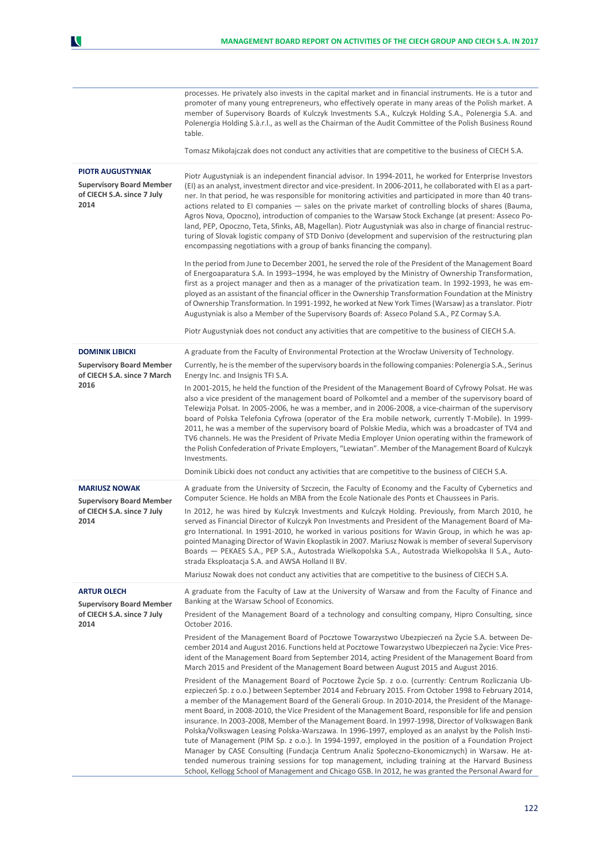|                                                                                                   | processes. He privately also invests in the capital market and in financial instruments. He is a tutor and<br>promoter of many young entrepreneurs, who effectively operate in many areas of the Polish market. A<br>member of Supervisory Boards of Kulczyk Investments S.A., Kulczyk Holding S.A., Polenergia S.A. and<br>Polenergia Holding S.à.r.l., as well as the Chairman of the Audit Committee of the Polish Business Round<br>table.                                                                                                                                                                                                                                                                                                                                                                                                                                                                                                                                                                                                               |
|---------------------------------------------------------------------------------------------------|--------------------------------------------------------------------------------------------------------------------------------------------------------------------------------------------------------------------------------------------------------------------------------------------------------------------------------------------------------------------------------------------------------------------------------------------------------------------------------------------------------------------------------------------------------------------------------------------------------------------------------------------------------------------------------------------------------------------------------------------------------------------------------------------------------------------------------------------------------------------------------------------------------------------------------------------------------------------------------------------------------------------------------------------------------------|
|                                                                                                   | Tomasz Mikołajczak does not conduct any activities that are competitive to the business of CIECH S.A.                                                                                                                                                                                                                                                                                                                                                                                                                                                                                                                                                                                                                                                                                                                                                                                                                                                                                                                                                        |
| <b>PIOTR AUGUSTYNIAK</b><br><b>Supervisory Board Member</b><br>of CIECH S.A. since 7 July<br>2014 | Piotr Augustyniak is an independent financial advisor. In 1994-2011, he worked for Enterprise Investors<br>(EI) as an analyst, investment director and vice-president. In 2006-2011, he collaborated with EI as a part-<br>ner. In that period, he was responsible for monitoring activities and participated in more than 40 trans-<br>actions related to EI companies - sales on the private market of controlling blocks of shares (Bauma,<br>Agros Nova, Opoczno), introduction of companies to the Warsaw Stock Exchange (at present: Asseco Po-<br>land, PEP, Opoczno, Teta, Sfinks, AB, Magellan). Piotr Augustyniak was also in charge of financial restruc-<br>turing of Slovak logistic company of STD Donivo (development and supervision of the restructuring plan<br>encompassing negotiations with a group of banks financing the company).                                                                                                                                                                                                    |
|                                                                                                   | In the period from June to December 2001, he served the role of the President of the Management Board<br>of Energoaparatura S.A. In 1993-1994, he was employed by the Ministry of Ownership Transformation,<br>first as a project manager and then as a manager of the privatization team. In 1992-1993, he was em-<br>ployed as an assistant of the financial officer in the Ownership Transformation Foundation at the Ministry<br>of Ownership Transformation. In 1991-1992, he worked at New York Times (Warsaw) as a translator. Piotr<br>Augustyniak is also a Member of the Supervisory Boards of: Asseco Poland S.A., PZ Cormay S.A.<br>Piotr Augustyniak does not conduct any activities that are competitive to the business of CIECH S.A.                                                                                                                                                                                                                                                                                                         |
| <b>DOMINIK LIBICKI</b>                                                                            | A graduate from the Faculty of Environmental Protection at the Wrocław University of Technology.                                                                                                                                                                                                                                                                                                                                                                                                                                                                                                                                                                                                                                                                                                                                                                                                                                                                                                                                                             |
| <b>Supervisory Board Member</b><br>of CIECH S.A. since 7 March                                    | Currently, he is the member of the supervisory boards in the following companies: Polenergia S.A., Serinus<br>Energy Inc. and Insignis TFI S.A.                                                                                                                                                                                                                                                                                                                                                                                                                                                                                                                                                                                                                                                                                                                                                                                                                                                                                                              |
| 2016                                                                                              | In 2001-2015, he held the function of the President of the Management Board of Cyfrowy Polsat. He was<br>also a vice president of the management board of Polkomtel and a member of the supervisory board of<br>Telewizja Polsat. In 2005-2006, he was a member, and in 2006-2008, a vice-chairman of the supervisory<br>board of Polska Telefonia Cyfrowa (operator of the Era mobile network, currently T-Mobile). In 1999-<br>2011, he was a member of the supervisory board of Polskie Media, which was a broadcaster of TV4 and<br>TV6 channels. He was the President of Private Media Employer Union operating within the framework of<br>the Polish Confederation of Private Employers, "Lewiatan". Member of the Management Board of Kulczyk<br>Investments.                                                                                                                                                                                                                                                                                         |
|                                                                                                   | Dominik Libicki does not conduct any activities that are competitive to the business of CIECH S.A.                                                                                                                                                                                                                                                                                                                                                                                                                                                                                                                                                                                                                                                                                                                                                                                                                                                                                                                                                           |
| <b>MARIUSZ NOWAK</b><br><b>Supervisory Board Member</b>                                           | A graduate from the University of Szczecin, the Faculty of Economy and the Faculty of Cybernetics and<br>Computer Science. He holds an MBA from the Ecole Nationale des Ponts et Chaussees in Paris.                                                                                                                                                                                                                                                                                                                                                                                                                                                                                                                                                                                                                                                                                                                                                                                                                                                         |
| of CIECH S.A. since 7 July<br>2014                                                                | In 2012, he was hired by Kulczyk Investments and Kulczyk Holding. Previously, from March 2010, he<br>served as Financial Director of Kulczyk Pon Investments and President of the Management Board of Ma-<br>gro International. In 1991-2010, he worked in various positions for Wavin Group, in which he was ap-<br>pointed Managing Director of Wavin Ekoplastik in 2007. Mariusz Nowak is member of several Supervisory<br>Boards - PEKAES S.A., PEP S.A., Autostrada Wielkopolska S.A., Autostrada Wielkopolska II S.A., Auto-<br>strada Eksploatacja S.A. and AWSA Holland II BV.                                                                                                                                                                                                                                                                                                                                                                                                                                                                       |
|                                                                                                   | Mariusz Nowak does not conduct any activities that are competitive to the business of CIECH S.A.                                                                                                                                                                                                                                                                                                                                                                                                                                                                                                                                                                                                                                                                                                                                                                                                                                                                                                                                                             |
| <b>ARTUR OLECH</b><br><b>Supervisory Board Member</b>                                             | A graduate from the Faculty of Law at the University of Warsaw and from the Faculty of Finance and<br>Banking at the Warsaw School of Economics.                                                                                                                                                                                                                                                                                                                                                                                                                                                                                                                                                                                                                                                                                                                                                                                                                                                                                                             |
| of CIECH S.A. since 7 July<br>2014                                                                | President of the Management Board of a technology and consulting company, Hipro Consulting, since<br>October 2016.                                                                                                                                                                                                                                                                                                                                                                                                                                                                                                                                                                                                                                                                                                                                                                                                                                                                                                                                           |
|                                                                                                   | President of the Management Board of Pocztowe Towarzystwo Ubezpieczeń na Życie S.A. between De-<br>cember 2014 and August 2016. Functions held at Pocztowe Towarzystwo Ubezpieczeń na Życie: Vice Pres-<br>ident of the Management Board from September 2014, acting President of the Management Board from<br>March 2015 and President of the Management Board between August 2015 and August 2016.                                                                                                                                                                                                                                                                                                                                                                                                                                                                                                                                                                                                                                                         |
|                                                                                                   | President of the Management Board of Pocztowe Życie Sp. z o.o. (currently: Centrum Rozliczania Ub-<br>ezpieczeń Sp. z o.o.) between September 2014 and February 2015. From October 1998 to February 2014,<br>a member of the Management Board of the Generali Group. In 2010-2014, the President of the Manage-<br>ment Board, in 2008-2010, the Vice President of the Management Board, responsible for life and pension<br>insurance. In 2003-2008, Member of the Management Board. In 1997-1998, Director of Volkswagen Bank<br>Polska/Volkswagen Leasing Polska-Warszawa. In 1996-1997, employed as an analyst by the Polish Insti-<br>tute of Management (PIM Sp. z o.o.). In 1994-1997, employed in the position of a Foundation Project<br>Manager by CASE Consulting (Fundacja Centrum Analiz Społeczno-Ekonomicznych) in Warsaw. He at-<br>tended numerous training sessions for top management, including training at the Harvard Business<br>School, Kellogg School of Management and Chicago GSB. In 2012, he was granted the Personal Award for |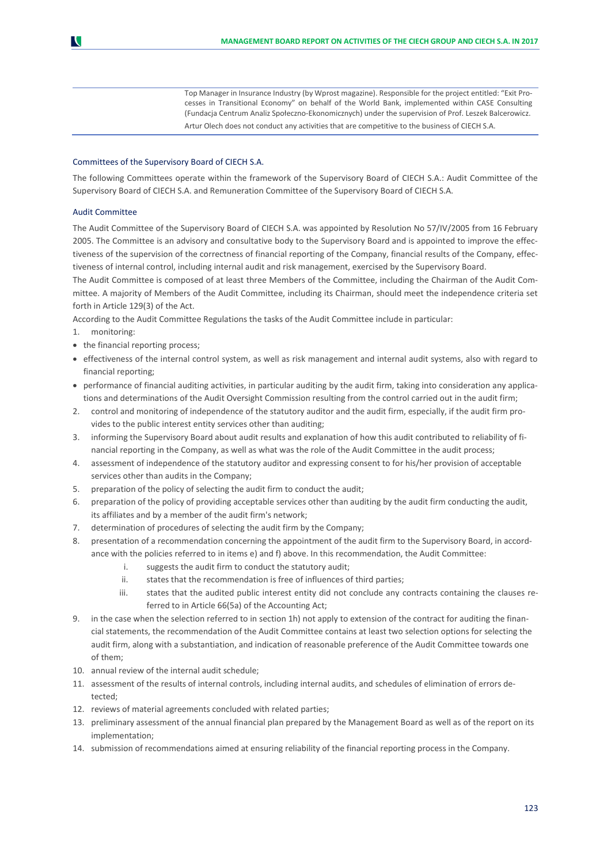Top Manager in Insurance Industry (by Wprost magazine). Responsible for the project entitled: "Exit Processes in Transitional Economy" on behalf of the World Bank, implemented within CASE Consulting (Fundacja Centrum Analiz Społeczno-Ekonomicznych) under the supervision of Prof. Leszek Balcerowicz. Artur Olech does not conduct any activities that are competitive to the business of CIECH S.A.

#### Committees of the Supervisory Board of CIECH S.A.

The following Committees operate within the framework of the Supervisory Board of CIECH S.A.: Audit Committee of the Supervisory Board of CIECH S.A. and Remuneration Committee of the Supervisory Board of CIECH S.A.

#### Audit Committee

N

The Audit Committee of the Supervisory Board of CIECH S.A. was appointed by Resolution No 57/IV/2005 from 16 February 2005. The Committee is an advisory and consultative body to the Supervisory Board and is appointed to improve the effectiveness of the supervision of the correctness of financial reporting of the Company, financial results of the Company, effectiveness of internal control, including internal audit and risk management, exercised by the Supervisory Board.

The Audit Committee is composed of at least three Members of the Committee, including the Chairman of the Audit Committee. A majority of Members of the Audit Committee, including its Chairman, should meet the independence criteria set forth in Article 129(3) of the Act.

According to the Audit Committee Regulations the tasks of the Audit Committee include in particular:

- 1. monitoring:
- the financial reporting process;
- effectiveness of the internal control system, as well as risk management and internal audit systems, also with regard to financial reporting;
- performance of financial auditing activities, in particular auditing by the audit firm, taking into consideration any applications and determinations of the Audit Oversight Commission resulting from the control carried out in the audit firm;
- 2. control and monitoring of independence of the statutory auditor and the audit firm, especially, if the audit firm provides to the public interest entity services other than auditing;
- 3. informing the Supervisory Board about audit results and explanation of how this audit contributed to reliability of financial reporting in the Company, as well as what was the role of the Audit Committee in the audit process;
- 4. assessment of independence of the statutory auditor and expressing consent to for his/her provision of acceptable services other than audits in the Company;
- 5. preparation of the policy of selecting the audit firm to conduct the audit;
- 6. preparation of the policy of providing acceptable services other than auditing by the audit firm conducting the audit, its affiliates and by a member of the audit firm's network;
- 7. determination of procedures of selecting the audit firm by the Company;
- presentation of a recommendation concerning the appointment of the audit firm to the Supervisory Board, in accordance with the policies referred to in items e) and f) above. In this recommendation, the Audit Committee:
	- i. suggests the audit firm to conduct the statutory audit;
	- ii. states that the recommendation is free of influences of third parties;
	- iii. states that the audited public interest entity did not conclude any contracts containing the clauses referred to in Article 66(5a) of the Accounting Act;
- 9. in the case when the selection referred to in section 1h) not apply to extension of the contract for auditing the financial statements, the recommendation of the Audit Committee contains at least two selection options for selecting the audit firm, along with a substantiation, and indication of reasonable preference of the Audit Committee towards one of them;
- 10. annual review of the internal audit schedule;
- 11. assessment of the results of internal controls, including internal audits, and schedules of elimination of errors detected;
- 12. reviews of material agreements concluded with related parties;
- 13. preliminary assessment of the annual financial plan prepared by the Management Board as well as of the report on its implementation;
- 14. submission of recommendations aimed at ensuring reliability of the financial reporting process in the Company.

123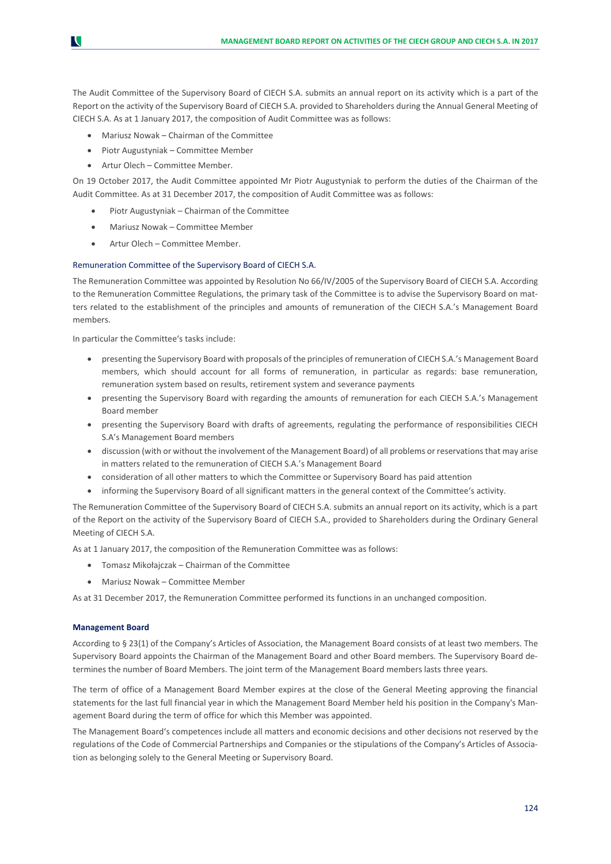The Audit Committee of the Supervisory Board of CIECH S.A. submits an annual report on its activity which is a part of the Report on the activity of the Supervisory Board of CIECH S.A. provided to Shareholders during the Annual General Meeting of CIECH S.A. As at 1 January 2017, the composition of Audit Committee was as follows:

- Mariusz Nowak Chairman of the Committee
- Piotr Augustyniak Committee Member
- Artur Olech Committee Member.

N

On 19 October 2017, the Audit Committee appointed Mr Piotr Augustyniak to perform the duties of the Chairman of the Audit Committee. As at 31 December 2017, the composition of Audit Committee was as follows:

- Piotr Augustyniak Chairman of the Committee
- Mariusz Nowak Committee Member
- Artur Olech Committee Member.

#### Remuneration Committee of the Supervisory Board of CIECH S.A.

The Remuneration Committee was appointed by Resolution No 66/IV/2005 of the Supervisory Board of CIECH S.A. According to the Remuneration Committee Regulations, the primary task of the Committee is to advise the Supervisory Board on matters related to the establishment of the principles and amounts of remuneration of the CIECH S.A.'s Management Board members.

In particular the Committee's tasks include:

- presenting the Supervisory Board with proposals of the principles of remuneration of CIECH S.A.'s Management Board members, which should account for all forms of remuneration, in particular as regards: base remuneration, remuneration system based on results, retirement system and severance payments
- presenting the Supervisory Board with regarding the amounts of remuneration for each CIECH S.A.'s Management Board member
- presenting the Supervisory Board with drafts of agreements, regulating the performance of responsibilities CIECH S.A's Management Board members
- discussion (with or without the involvement of the Management Board) of all problems or reservations that may arise in matters related to the remuneration of CIECH S.A.'s Management Board
- consideration of all other matters to which the Committee or Supervisory Board has paid attention
- informing the Supervisory Board of all significant matters in the general context of the Committee's activity.

The Remuneration Committee of the Supervisory Board of CIECH S.A. submits an annual report on its activity, which is a part of the Report on the activity of the Supervisory Board of CIECH S.A., provided to Shareholders during the Ordinary General Meeting of CIECH S.A.

As at 1 January 2017, the composition of the Remuneration Committee was as follows:

- Tomasz Mikołajczak Chairman of the Committee
- Mariusz Nowak Committee Member

As at 31 December 2017, the Remuneration Committee performed its functions in an unchanged composition.

#### **Management Board**

According to § 23(1) of the Company's Articles of Association, the Management Board consists of at least two members. The Supervisory Board appoints the Chairman of the Management Board and other Board members. The Supervisory Board determines the number of Board Members. The joint term of the Management Board members lasts three years.

The term of office of a Management Board Member expires at the close of the General Meeting approving the financial statements for the last full financial year in which the Management Board Member held his position in the Company's Management Board during the term of office for which this Member was appointed.

The Management Board's competences include all matters and economic decisions and other decisions not reserved by the regulations of the Code of Commercial Partnerships and Companies or the stipulations of the Company's Articles of Association as belonging solely to the General Meeting or Supervisory Board.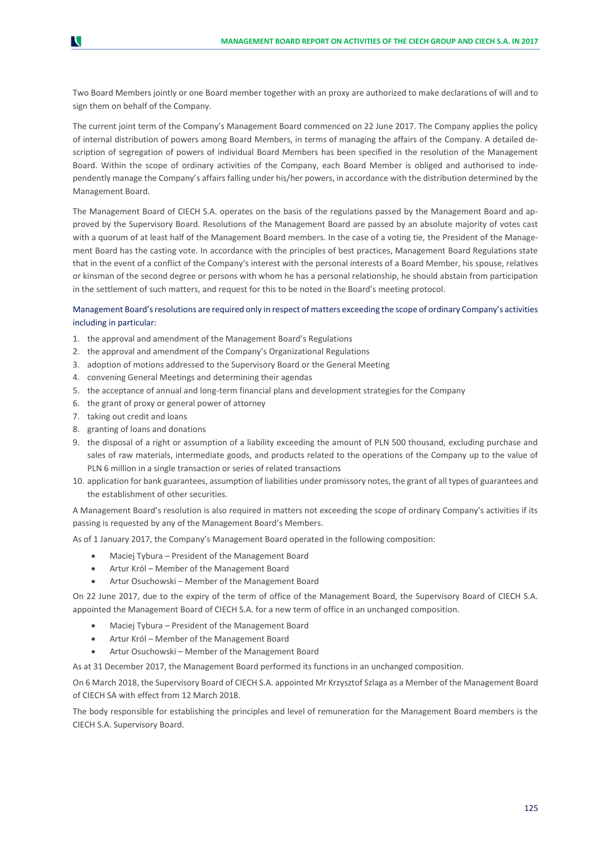Two Board Members jointly or one Board member together with an proxy are authorized to make declarations of will and to sign them on behalf of the Company.

The current joint term of the Company's Management Board commenced on 22 June 2017. The Company applies the policy of internal distribution of powers among Board Members, in terms of managing the affairs of the Company. A detailed description of segregation of powers of individual Board Members has been specified in the resolution of the Management Board. Within the scope of ordinary activities of the Company, each Board Member is obliged and authorised to independently manage the Company's affairs falling under his/her powers, in accordance with the distribution determined by the Management Board.

The Management Board of CIECH S.A. operates on the basis of the regulations passed by the Management Board and approved by the Supervisory Board. Resolutions of the Management Board are passed by an absolute majority of votes cast with a quorum of at least half of the Management Board members. In the case of a voting tie, the President of the Management Board has the casting vote. In accordance with the principles of best practices, Management Board Regulations state that in the event of a conflict of the Company's interest with the personal interests of a Board Member, his spouse, relatives or kinsman of the second degree or persons with whom he has a personal relationship, he should abstain from participation in the settlement of such matters, and request for this to be noted in the Board's meeting protocol.

### Management Board's resolutions are required only in respect of matters exceeding the scope of ordinary Company's activities including in particular:

- 1. the approval and amendment of the Management Board's Regulations
- 2. the approval and amendment of the Company's Organizational Regulations
- 3. adoption of motions addressed to the Supervisory Board or the General Meeting
- 4. convening General Meetings and determining their agendas
- 5. the acceptance of annual and long-term financial plans and development strategies for the Company
- 6. the grant of proxy or general power of attorney
- 7. taking out credit and loans

N

- 8. granting of loans and donations
- 9. the disposal of a right or assumption of a liability exceeding the amount of PLN 500 thousand, excluding purchase and sales of raw materials, intermediate goods, and products related to the operations of the Company up to the value of PLN 6 million in a single transaction or series of related transactions
- 10. application for bank guarantees, assumption of liabilities under promissory notes, the grant of all types of guarantees and the establishment of other securities.

A Management Board's resolution is also required in matters not exceeding the scope of ordinary Company's activities if its passing is requested by any of the Management Board's Members.

As of 1 January 2017, the Company's Management Board operated in the following composition:

- Maciej Tybura President of the Management Board
- Artur Król Member of the Management Board
- Artur Osuchowski Member of the Management Board

On 22 June 2017, due to the expiry of the term of office of the Management Board, the Supervisory Board of CIECH S.A. appointed the Management Board of CIECH S.A. for a new term of office in an unchanged composition.

- Maciej Tybura President of the Management Board
- Artur Król Member of the Management Board
- Artur Osuchowski Member of the Management Board

As at 31 December 2017, the Management Board performed its functions in an unchanged composition.

On 6 March 2018, the Supervisory Board of CIECH S.A. appointed Mr Krzysztof Szlaga as a Member of the Management Board of CIECH SA with effect from 12 March 2018.

The body responsible for establishing the principles and level of remuneration for the Management Board members is the CIECH S.A. Supervisory Board.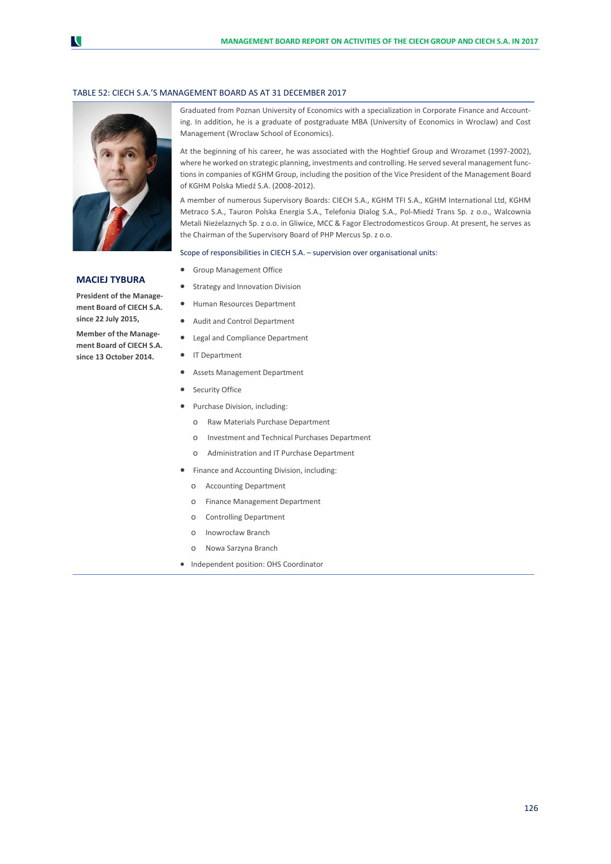#### TABLE 52: CIECH S.A.'S MANAGEMENT BOARD AS AT 31 DECEMBER 2017



#### **MACIEJ TYBURA**

**President of the Management Board of CIECH S.A. since 22 July 2015,** 

**Member of the Management Board of CIECH S.A. since 13 October 2014.**

Graduated from Poznan University of Economics with a specialization in Corporate Finance and Accounting. In addition, he is a graduate of postgraduate MBA (University of Economics in Wroclaw) and Cost Management (Wroclaw School of Economics).

At the beginning of his career, he was associated with the Hoghtief Group and Wrozamet (1997-2002), where he worked on strategic planning, investments and controlling. He served several management functions in companies of KGHM Group, including the position of the Vice President of the Management Board of KGHM Polska Miedź S.A. (2008-2012).

A member of numerous Supervisory Boards: CIECH S.A., KGHM TFI S.A., KGHM International Ltd, KGHM Metraco S.A., Tauron Polska Energia S.A., Telefonia Dialog S.A., Pol-Miedź Trans Sp. z o.o., Walcownia Metali Nieżelaznych Sp. z o.o. in Gliwice, MCC & Fagor Electrodomesticos Group. At present, he serves as the Chairman of the Supervisory Board of PHP Mercus Sp. z o.o.

Scope of responsibilities in CIECH S.A. – supervision over organisational units:

- **•** Group Management Office
- **•** Strategy and Innovation Division
- Human Resources Department
- Audit and Control Department
- **•** Legal and Compliance Department
- **IT Department**
- Assets Management Department
- Security Office
- Purchase Division, including:
	- o Raw Materials Purchase Department
	- o Investment and Technical Purchases Department
	- o Administration and IT Purchase Department
- Finance and Accounting Division, including:
	- o Accounting Department
	- o Finance Management Department
	- o Controlling Department
	- o Inowrocław Branch
	- o Nowa Sarzyna Branch
- Independent position: OHS Coordinator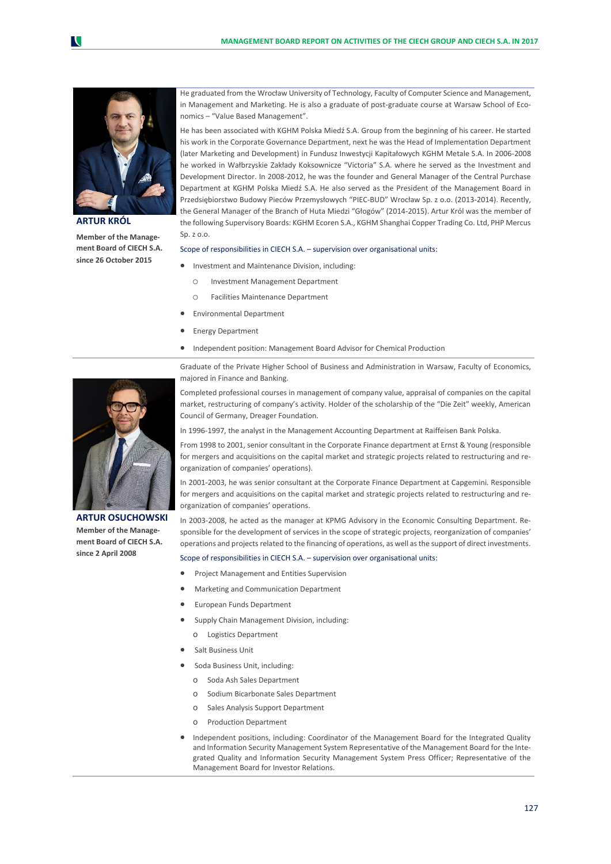

**ARTUR KRÓL**

**Member of the Management Board of CIECH S.A. since 26 October 2015**

He graduated from the Wrocław University of Technology, Faculty of Computer Science and Management, in Management and Marketing. He is also a graduate of post-graduate course at Warsaw School of Economics – "Value Based Management".

He has been associated with KGHM Polska Miedź S.A. Group from the beginning of his career. He started his work in the Corporate Governance Department, next he was the Head of Implementation Department (later Marketing and Development) in Fundusz Inwestycji Kapitałowych KGHM Metale S.A. In 2006-2008 he worked in Wałbrzyskie Zakłady Koksownicze "Victoria" S.A. where he served as the Investment and Development Director. In 2008-2012, he was the founder and General Manager of the Central Purchase Department at KGHM Polska Miedź S.A. He also served as the President of the Management Board in Przedsiębiorstwo Budowy Pieców Przemysłowych "PIEC-BUD" Wrocław Sp. z o.o. (2013-2014). Recently, the General Manager of the Branch of Huta Miedzi "Głogów" (2014-2015). Artur Król was the member of the following Supervisory Boards: KGHM Ecoren S.A., KGHM Shanghai Copper Trading Co. Ltd, PHP Mercus Sp.  $7.0.0$ 

#### Scope of responsibilities in CIECH S.A. – supervision over organisational units:

- Investment and Maintenance Division, including:
	- o Investment Management Department
	- o Facilities Maintenance Department
- Environmental Department
- Energy Department
- Independent position: Management Board Advisor for Chemical Production

Graduate of the Private Higher School of Business and Administration in Warsaw, Faculty of Economics, majored in Finance and Banking.



**ARTUR OSUCHOWSKI Member of the Management Board of CIECH S.A. since 2 April 2008**

Completed professional courses in management of company value, appraisal of companies on the capital market, restructuring of company's activity. Holder of the scholarship of the "Die Zeit" weekly, American Council of Germany, Dreager Foundation.

In 1996-1997, the analyst in the Management Accounting Department at Raiffeisen Bank Polska.

From 1998 to 2001, senior consultant in the Corporate Finance department at Ernst & Young (responsible for mergers and acquisitions on the capital market and strategic projects related to restructuring and reorganization of companies' operations).

In 2001-2003, he was senior consultant at the Corporate Finance Department at Capgemini. Responsible for mergers and acquisitions on the capital market and strategic projects related to restructuring and reorganization of companies' operations.

In 2003-2008, he acted as the manager at KPMG Advisory in the Economic Consulting Department. Responsible for the development of services in the scope of strategic projects, reorganization of companies' operations and projects related to the financing of operations, as well as the support of direct investments.

Scope of responsibilities in CIECH S.A. – supervision over organisational units:

- Project Management and Entities Supervision
- Marketing and Communication Department
- European Funds Department
- Supply Chain Management Division, including:
	- o Logistics Department
- Salt Business Unit
- Soda Business Unit, including:
	- o Soda Ash Sales Department
	- o Sodium Bicarbonate Sales Department
	- o Sales Analysis Support Department
	- o Production Department
- Independent positions, including: Coordinator of the Management Board for the Integrated Quality and Information Security Management System Representative of the Management Board for the Integrated Quality and Information Security Management System Press Officer; Representative of the Management Board for Investor Relations.